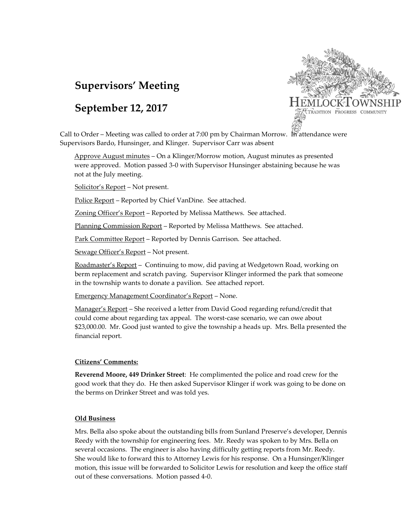# **Supervisors' Meeting**

## **September 12, 2017**



Call to Order – Meeting was called to order at 7:00 pm by Chairman Morrow. In attendance were Supervisors Bardo, Hunsinger, and Klinger. Supervisor Carr was absent

Approve August minutes – On a Klinger/Morrow motion, August minutes as presented were approved. Motion passed 3-0 with Supervisor Hunsinger abstaining because he was not at the July meeting.

Solicitor's Report – Not present.

Police Report – Reported by Chief VanDine. See attached.

Zoning Officer's Report – Reported by Melissa Matthews. See attached.

Planning Commission Report – Reported by Melissa Matthews. See attached.

Park Committee Report – Reported by Dennis Garrison. See attached.

Sewage Officer's Report - Not present.

Roadmaster's Report – Continuing to mow, did paving at Wedgetown Road, working on berm replacement and scratch paving. Supervisor Klinger informed the park that someone in the township wants to donate a pavilion. See attached report.

Emergency Management Coordinator's Report – None.

Manager's Report – She received a letter from David Good regarding refund/credit that could come about regarding tax appeal. The worst-case scenario, we can owe about \$23,000.00. Mr. Good just wanted to give the township a heads up. Mrs. Bella presented the financial report.

#### **Citizens' Comments:**

**Reverend Moore, 449 Drinker Street**: He complimented the police and road crew for the good work that they do. He then asked Supervisor Klinger if work was going to be done on the berms on Drinker Street and was told yes.

### **Old Business**

Mrs. Bella also spoke about the outstanding bills from Sunland Preserve's developer, Dennis Reedy with the township for engineering fees. Mr. Reedy was spoken to by Mrs. Bella on several occasions. The engineer is also having difficulty getting reports from Mr. Reedy. She would like to forward this to Attorney Lewis for his response. On a Hunsinger/Klinger motion, this issue will be forwarded to Solicitor Lewis for resolution and keep the office staff out of these conversations. Motion passed 4-0.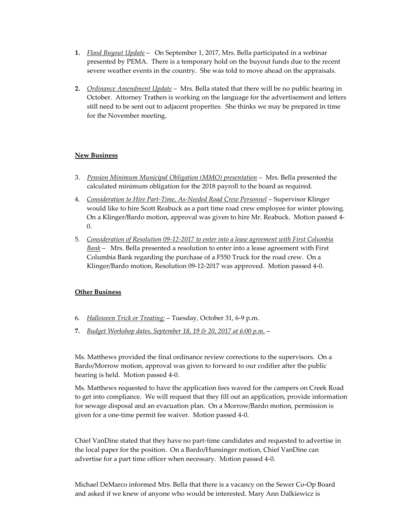- **1.** *Flood Buyout Update* On September 1, 2017, Mrs. Bella participated in a webinar presented by PEMA. There is a temporary hold on the buyout funds due to the recent severe weather events in the country. She was told to move ahead on the appraisals.
- **2.** *Ordinance Amendment Update* Mrs. Bella stated that there will be no public hearing in October. Attorney Trathen is working on the language for the advertisement and letters still need to be sent out to adjacent properties. She thinks we may be prepared in time for the November meeting.

### **New Business**

- 3. *Pension Minimum Municipal Obligation (MMO) presentation* Mrs. Bella presented the calculated minimum obligation for the 2018 payroll to the board as required.
- 4. *Consideration to Hire Part-Time, As-Needed Road Crew Personnel* Supervisor Klinger would like to hire Scott Reabuck as a part time road crew employee for winter plowing. On a Klinger/Bardo motion, approval was given to hire Mr. Reabuck. Motion passed 4- 0.
- 5. *Consideration of Resolution 09-12-2017 to enter into a lease agreement with First Columbia Bank* – Mrs. Bella presented a resolution to enter into a lease agreement with First Columbia Bank regarding the purchase of a F550 Truck for the road crew. On a Klinger/Bardo motion, Resolution 09-12-2017 was approved. Motion passed 4-0.

### **Other Business**

- 6. *Halloween Trick or Treating:* Tuesday, October 31, 6-9 p.m.
- **7.** *Budget Workshop dates, September 18, 19 & 20, 2017 at 6:00 p.m.* –

Ms. Matthews provided the final ordinance review corrections to the supervisors. On a Bardo/Morrow motion, approval was given to forward to our codifier after the public hearing is held. Motion passed 4-0.

Ms. Matthews requested to have the application fees waved for the campers on Creek Road to get into compliance. We will request that they fill out an application, provide information for sewage disposal and an evacuation plan. On a Morrow/Bardo motion, permission is given for a one-time permit fee waiver. Motion passed 4-0.

Chief VanDine stated that they have no part-time candidates and requested to advertise in the local paper for the position. On a Bardo/Hunsinger motion, Chief VanDine can advertise for a part time officer when necessary. Motion passed 4-0.

Michael DeMarco informed Mrs. Bella that there is a vacancy on the Sewer Co-Op Board and asked if we knew of anyone who would be interested. Mary Ann Dalkiewicz is